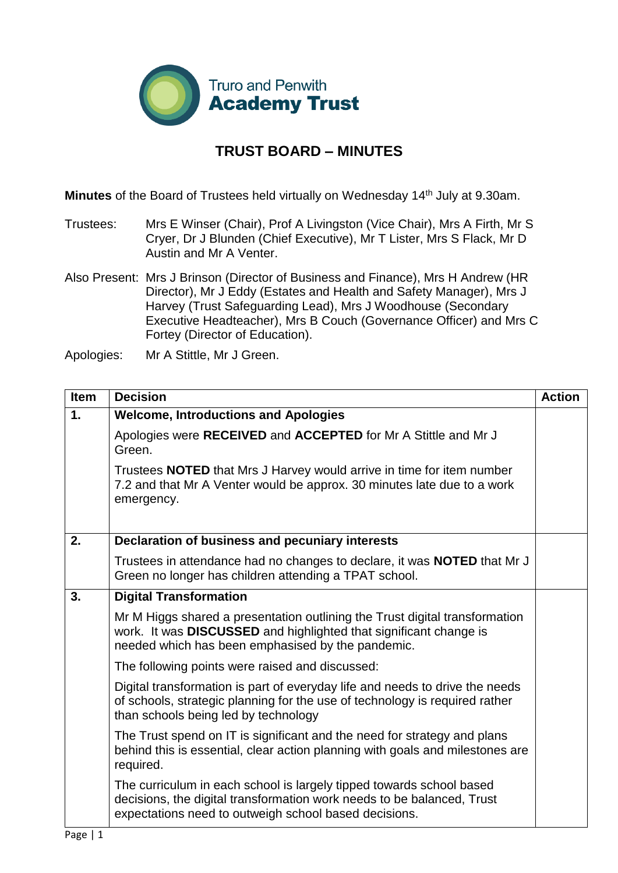

## **TRUST BOARD – MINUTES**

**Minutes** of the Board of Trustees held virtually on Wednesday 14<sup>th</sup> July at 9.30am.

- Trustees: Mrs E Winser (Chair), Prof A Livingston (Vice Chair), Mrs A Firth, Mr S Cryer, Dr J Blunden (Chief Executive), Mr T Lister, Mrs S Flack, Mr D Austin and Mr A Venter.
- Also Present: Mrs J Brinson (Director of Business and Finance), Mrs H Andrew (HR Director), Mr J Eddy (Estates and Health and Safety Manager), Mrs J Harvey (Trust Safeguarding Lead), Mrs J Woodhouse (Secondary Executive Headteacher), Mrs B Couch (Governance Officer) and Mrs C Fortey (Director of Education).
- Apologies: Mr A Stittle, Mr J Green.

| <b>Item</b> | <b>Decision</b>                                                                                                                                                                                         | <b>Action</b> |
|-------------|---------------------------------------------------------------------------------------------------------------------------------------------------------------------------------------------------------|---------------|
| 1.          | <b>Welcome, Introductions and Apologies</b>                                                                                                                                                             |               |
|             | Apologies were RECEIVED and ACCEPTED for Mr A Stittle and Mr J<br>Green.                                                                                                                                |               |
|             | Trustees <b>NOTED</b> that Mrs J Harvey would arrive in time for item number<br>7.2 and that Mr A Venter would be approx. 30 minutes late due to a work<br>emergency.                                   |               |
| 2.          | Declaration of business and pecuniary interests                                                                                                                                                         |               |
|             | Trustees in attendance had no changes to declare, it was <b>NOTED</b> that Mr J<br>Green no longer has children attending a TPAT school.                                                                |               |
| 3.          | <b>Digital Transformation</b>                                                                                                                                                                           |               |
|             | Mr M Higgs shared a presentation outlining the Trust digital transformation<br>work. It was DISCUSSED and highlighted that significant change is<br>needed which has been emphasised by the pandemic.   |               |
|             | The following points were raised and discussed:                                                                                                                                                         |               |
|             | Digital transformation is part of everyday life and needs to drive the needs<br>of schools, strategic planning for the use of technology is required rather<br>than schools being led by technology     |               |
|             | The Trust spend on IT is significant and the need for strategy and plans<br>behind this is essential, clear action planning with goals and milestones are<br>required.                                  |               |
|             | The curriculum in each school is largely tipped towards school based<br>decisions, the digital transformation work needs to be balanced, Trust<br>expectations need to outweigh school based decisions. |               |
| Dao 1 1     |                                                                                                                                                                                                         |               |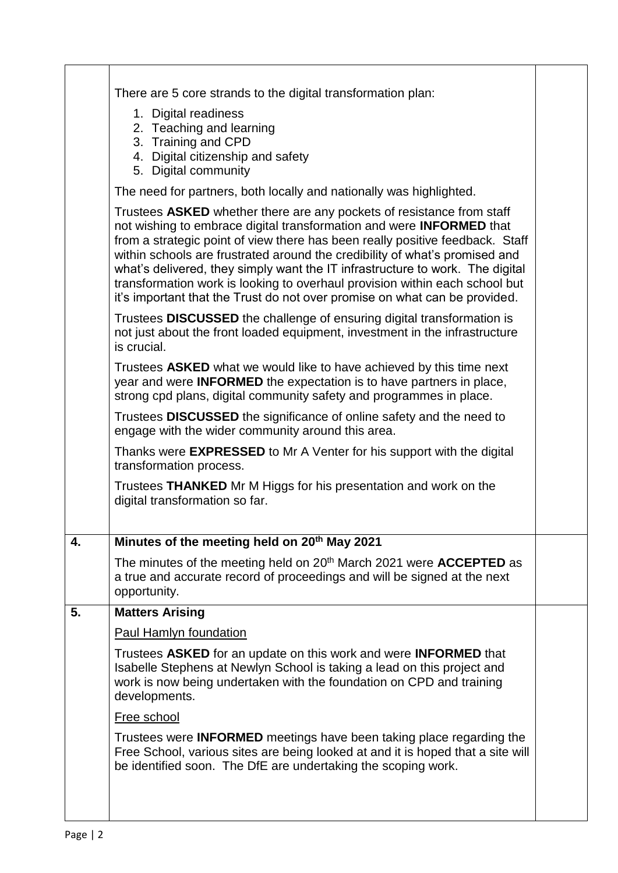|    | There are 5 core strands to the digital transformation plan:                                                                                                                                                                                                                                                                                                                                                                                                                                                                                                       |  |  |
|----|--------------------------------------------------------------------------------------------------------------------------------------------------------------------------------------------------------------------------------------------------------------------------------------------------------------------------------------------------------------------------------------------------------------------------------------------------------------------------------------------------------------------------------------------------------------------|--|--|
|    | 1. Digital readiness<br>2. Teaching and learning<br>3. Training and CPD<br>4. Digital citizenship and safety<br>5. Digital community                                                                                                                                                                                                                                                                                                                                                                                                                               |  |  |
|    | The need for partners, both locally and nationally was highlighted.                                                                                                                                                                                                                                                                                                                                                                                                                                                                                                |  |  |
|    | Trustees ASKED whether there are any pockets of resistance from staff<br>not wishing to embrace digital transformation and were <b>INFORMED</b> that<br>from a strategic point of view there has been really positive feedback. Staff<br>within schools are frustrated around the credibility of what's promised and<br>what's delivered, they simply want the IT infrastructure to work. The digital<br>transformation work is looking to overhaul provision within each school but<br>it's important that the Trust do not over promise on what can be provided. |  |  |
|    | Trustees <b>DISCUSSED</b> the challenge of ensuring digital transformation is<br>not just about the front loaded equipment, investment in the infrastructure<br>is crucial.                                                                                                                                                                                                                                                                                                                                                                                        |  |  |
|    | Trustees ASKED what we would like to have achieved by this time next<br>year and were <b>INFORMED</b> the expectation is to have partners in place,<br>strong cpd plans, digital community safety and programmes in place.                                                                                                                                                                                                                                                                                                                                         |  |  |
|    | Trustees <b>DISCUSSED</b> the significance of online safety and the need to<br>engage with the wider community around this area.                                                                                                                                                                                                                                                                                                                                                                                                                                   |  |  |
|    | Thanks were <b>EXPRESSED</b> to Mr A Venter for his support with the digital<br>transformation process.                                                                                                                                                                                                                                                                                                                                                                                                                                                            |  |  |
|    | Trustees THANKED Mr M Higgs for his presentation and work on the<br>digital transformation so far.                                                                                                                                                                                                                                                                                                                                                                                                                                                                 |  |  |
| 4. | Minutes of the meeting held on 20 <sup>th</sup> May 2021                                                                                                                                                                                                                                                                                                                                                                                                                                                                                                           |  |  |
|    | The minutes of the meeting held on $20th$ March 2021 were <b>ACCEPTED</b> as<br>a true and accurate record of proceedings and will be signed at the next<br>opportunity.                                                                                                                                                                                                                                                                                                                                                                                           |  |  |
| 5. | <b>Matters Arising</b>                                                                                                                                                                                                                                                                                                                                                                                                                                                                                                                                             |  |  |
|    | Paul Hamlyn foundation                                                                                                                                                                                                                                                                                                                                                                                                                                                                                                                                             |  |  |
|    | Trustees ASKED for an update on this work and were <b>INFORMED</b> that<br>Isabelle Stephens at Newlyn School is taking a lead on this project and<br>work is now being undertaken with the foundation on CPD and training<br>developments.                                                                                                                                                                                                                                                                                                                        |  |  |
|    | Free school                                                                                                                                                                                                                                                                                                                                                                                                                                                                                                                                                        |  |  |
|    | Trustees were <b>INFORMED</b> meetings have been taking place regarding the<br>Free School, various sites are being looked at and it is hoped that a site will<br>be identified soon. The DfE are undertaking the scoping work.                                                                                                                                                                                                                                                                                                                                    |  |  |
|    |                                                                                                                                                                                                                                                                                                                                                                                                                                                                                                                                                                    |  |  |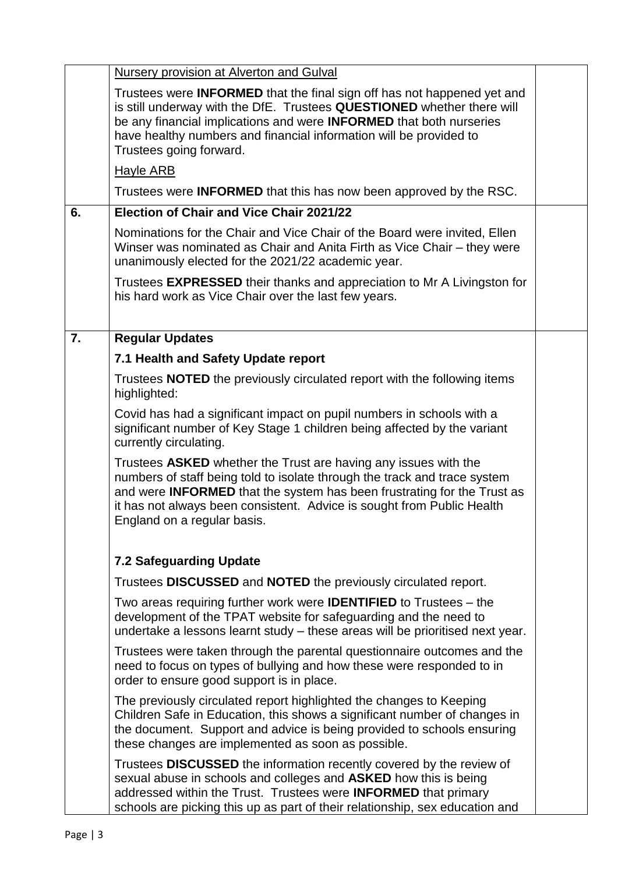|    | Nursery provision at Alverton and Gulval                                                                                                                                                                                                                                                                                                |  |
|----|-----------------------------------------------------------------------------------------------------------------------------------------------------------------------------------------------------------------------------------------------------------------------------------------------------------------------------------------|--|
|    | Trustees were <b>INFORMED</b> that the final sign off has not happened yet and<br>is still underway with the DfE. Trustees QUESTIONED whether there will<br>be any financial implications and were <b>INFORMED</b> that both nurseries<br>have healthy numbers and financial information will be provided to<br>Trustees going forward. |  |
|    | <b>Hayle ARB</b>                                                                                                                                                                                                                                                                                                                        |  |
|    | Trustees were <b>INFORMED</b> that this has now been approved by the RSC.                                                                                                                                                                                                                                                               |  |
| 6. | Election of Chair and Vice Chair 2021/22                                                                                                                                                                                                                                                                                                |  |
|    | Nominations for the Chair and Vice Chair of the Board were invited, Ellen<br>Winser was nominated as Chair and Anita Firth as Vice Chair – they were<br>unanimously elected for the 2021/22 academic year.                                                                                                                              |  |
|    | Trustees EXPRESSED their thanks and appreciation to Mr A Livingston for<br>his hard work as Vice Chair over the last few years.                                                                                                                                                                                                         |  |
| 7. | <b>Regular Updates</b>                                                                                                                                                                                                                                                                                                                  |  |
|    | 7.1 Health and Safety Update report                                                                                                                                                                                                                                                                                                     |  |
|    | Trustees <b>NOTED</b> the previously circulated report with the following items<br>highlighted:                                                                                                                                                                                                                                         |  |
|    | Covid has had a significant impact on pupil numbers in schools with a<br>significant number of Key Stage 1 children being affected by the variant<br>currently circulating.                                                                                                                                                             |  |
|    | Trustees ASKED whether the Trust are having any issues with the<br>numbers of staff being told to isolate through the track and trace system<br>and were <b>INFORMED</b> that the system has been frustrating for the Trust as<br>it has not always been consistent. Advice is sought from Public Health<br>England on a regular basis. |  |
|    | <b>7.2 Safeguarding Update</b>                                                                                                                                                                                                                                                                                                          |  |
|    | Trustees DISCUSSED and NOTED the previously circulated report.                                                                                                                                                                                                                                                                          |  |
|    | Two areas requiring further work were <b>IDENTIFIED</b> to Trustees – the<br>development of the TPAT website for safeguarding and the need to<br>undertake a lessons learnt study – these areas will be prioritised next year.                                                                                                          |  |
|    | Trustees were taken through the parental questionnaire outcomes and the<br>need to focus on types of bullying and how these were responded to in<br>order to ensure good support is in place.                                                                                                                                           |  |
|    | The previously circulated report highlighted the changes to Keeping<br>Children Safe in Education, this shows a significant number of changes in<br>the document. Support and advice is being provided to schools ensuring<br>these changes are implemented as soon as possible.                                                        |  |
|    | Trustees <b>DISCUSSED</b> the information recently covered by the review of<br>sexual abuse in schools and colleges and ASKED how this is being<br>addressed within the Trust. Trustees were <b>INFORMED</b> that primary<br>schools are picking this up as part of their relationship, sex education and                               |  |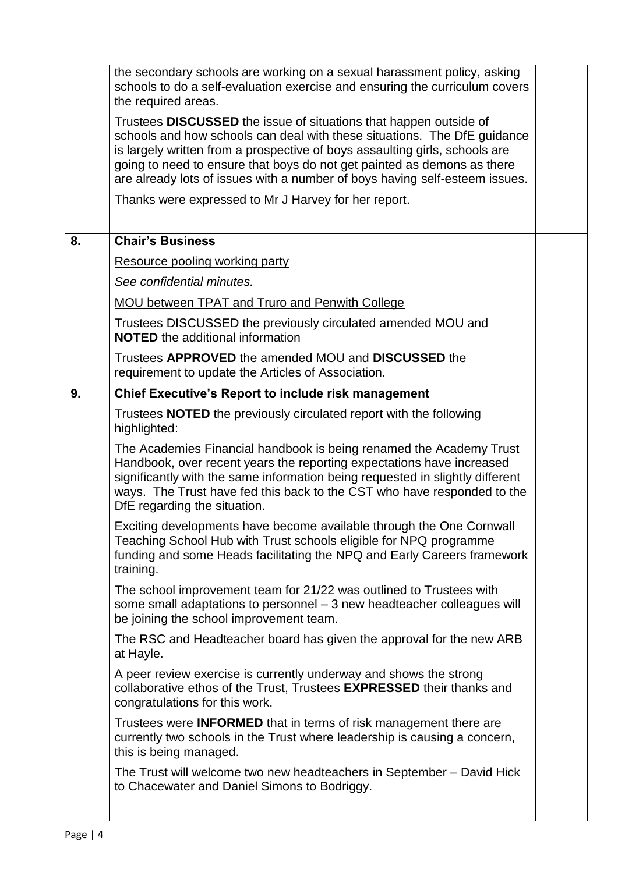|    | the secondary schools are working on a sexual harassment policy, asking<br>schools to do a self-evaluation exercise and ensuring the curriculum covers<br>the required areas.                                                                                                                                                                                                                 |  |
|----|-----------------------------------------------------------------------------------------------------------------------------------------------------------------------------------------------------------------------------------------------------------------------------------------------------------------------------------------------------------------------------------------------|--|
|    | Trustees <b>DISCUSSED</b> the issue of situations that happen outside of<br>schools and how schools can deal with these situations. The DfE guidance<br>is largely written from a prospective of boys assaulting girls, schools are<br>going to need to ensure that boys do not get painted as demons as there<br>are already lots of issues with a number of boys having self-esteem issues. |  |
|    | Thanks were expressed to Mr J Harvey for her report.                                                                                                                                                                                                                                                                                                                                          |  |
| 8. | <b>Chair's Business</b>                                                                                                                                                                                                                                                                                                                                                                       |  |
|    | Resource pooling working party                                                                                                                                                                                                                                                                                                                                                                |  |
|    | See confidential minutes.                                                                                                                                                                                                                                                                                                                                                                     |  |
|    | MOU between TPAT and Truro and Penwith College                                                                                                                                                                                                                                                                                                                                                |  |
|    | Trustees DISCUSSED the previously circulated amended MOU and<br><b>NOTED</b> the additional information                                                                                                                                                                                                                                                                                       |  |
|    | Trustees APPROVED the amended MOU and DISCUSSED the<br>requirement to update the Articles of Association.                                                                                                                                                                                                                                                                                     |  |
| 9. | <b>Chief Executive's Report to include risk management</b>                                                                                                                                                                                                                                                                                                                                    |  |
|    | Trustees <b>NOTED</b> the previously circulated report with the following<br>highlighted:                                                                                                                                                                                                                                                                                                     |  |
|    | The Academies Financial handbook is being renamed the Academy Trust<br>Handbook, over recent years the reporting expectations have increased<br>significantly with the same information being requested in slightly different<br>ways. The Trust have fed this back to the CST who have responded to the<br>DfE regarding the situation.                                                      |  |
|    | Exciting developments have become available through the One Cornwall<br>Teaching School Hub with Trust schools eligible for NPQ programme<br>funding and some Heads facilitating the NPQ and Early Careers framework<br>training.                                                                                                                                                             |  |
|    | The school improvement team for 21/22 was outlined to Trustees with<br>some small adaptations to personnel - 3 new headteacher colleagues will<br>be joining the school improvement team.                                                                                                                                                                                                     |  |
|    | The RSC and Headteacher board has given the approval for the new ARB<br>at Hayle.                                                                                                                                                                                                                                                                                                             |  |
|    | A peer review exercise is currently underway and shows the strong<br>collaborative ethos of the Trust, Trustees EXPRESSED their thanks and<br>congratulations for this work.                                                                                                                                                                                                                  |  |
|    | Trustees were <b>INFORMED</b> that in terms of risk management there are<br>currently two schools in the Trust where leadership is causing a concern,<br>this is being managed.                                                                                                                                                                                                               |  |
|    | The Trust will welcome two new headteachers in September - David Hick<br>to Chacewater and Daniel Simons to Bodriggy.                                                                                                                                                                                                                                                                         |  |
|    |                                                                                                                                                                                                                                                                                                                                                                                               |  |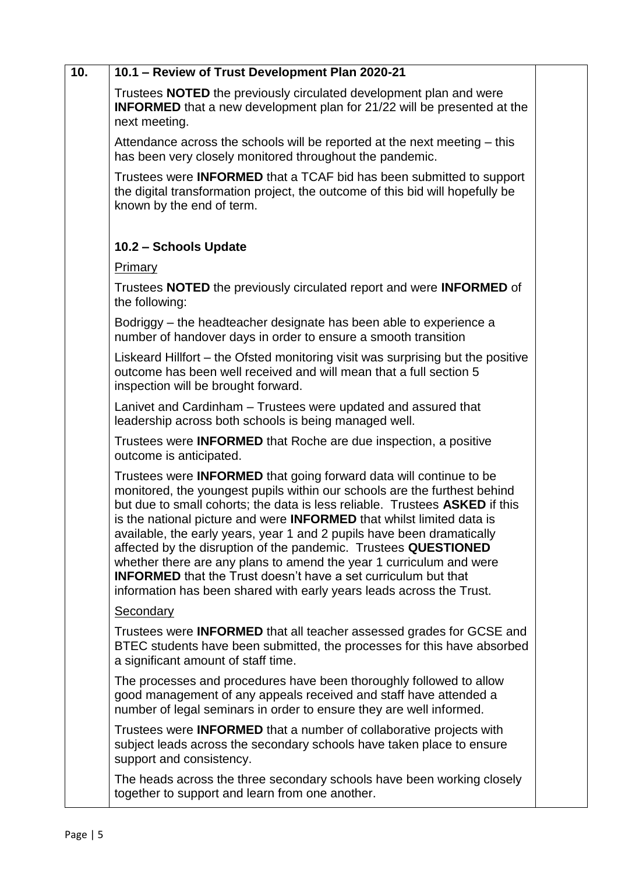|           | 10.1 - Review of Trust Development Plan 2020-21                                                                                                                                                                                                                                                                                                                                                                                                                                                                                                                                                                                                                                            |
|-----------|--------------------------------------------------------------------------------------------------------------------------------------------------------------------------------------------------------------------------------------------------------------------------------------------------------------------------------------------------------------------------------------------------------------------------------------------------------------------------------------------------------------------------------------------------------------------------------------------------------------------------------------------------------------------------------------------|
|           | Trustees <b>NOTED</b> the previously circulated development plan and were<br><b>INFORMED</b> that a new development plan for 21/22 will be presented at the<br>next meeting.                                                                                                                                                                                                                                                                                                                                                                                                                                                                                                               |
|           | Attendance across the schools will be reported at the next meeting – this<br>has been very closely monitored throughout the pandemic.                                                                                                                                                                                                                                                                                                                                                                                                                                                                                                                                                      |
|           | Trustees were <b>INFORMED</b> that a TCAF bid has been submitted to support<br>the digital transformation project, the outcome of this bid will hopefully be<br>known by the end of term.                                                                                                                                                                                                                                                                                                                                                                                                                                                                                                  |
|           | 10.2 - Schools Update                                                                                                                                                                                                                                                                                                                                                                                                                                                                                                                                                                                                                                                                      |
| Primary   |                                                                                                                                                                                                                                                                                                                                                                                                                                                                                                                                                                                                                                                                                            |
|           | Trustees NOTED the previously circulated report and were INFORMED of<br>the following:                                                                                                                                                                                                                                                                                                                                                                                                                                                                                                                                                                                                     |
|           | Bodriggy – the headteacher designate has been able to experience a<br>number of handover days in order to ensure a smooth transition                                                                                                                                                                                                                                                                                                                                                                                                                                                                                                                                                       |
|           | Liskeard Hillfort – the Ofsted monitoring visit was surprising but the positive<br>outcome has been well received and will mean that a full section 5<br>inspection will be brought forward.                                                                                                                                                                                                                                                                                                                                                                                                                                                                                               |
|           | Lanivet and Cardinham - Trustees were updated and assured that<br>leadership across both schools is being managed well.                                                                                                                                                                                                                                                                                                                                                                                                                                                                                                                                                                    |
|           | Trustees were <b>INFORMED</b> that Roche are due inspection, a positive<br>outcome is anticipated.                                                                                                                                                                                                                                                                                                                                                                                                                                                                                                                                                                                         |
|           | Trustees were <b>INFORMED</b> that going forward data will continue to be<br>monitored, the youngest pupils within our schools are the furthest behind<br>but due to small cohorts; the data is less reliable. Trustees ASKED if this<br>is the national picture and were <b>INFORMED</b> that whilst limited data is<br>available, the early years, year 1 and 2 pupils have been dramatically<br>affected by the disruption of the pandemic. Trustees QUESTIONED<br>whether there are any plans to amend the year 1 curriculum and were<br><b>INFORMED</b> that the Trust doesn't have a set curriculum but that<br>information has been shared with early years leads across the Trust. |
| Secondary |                                                                                                                                                                                                                                                                                                                                                                                                                                                                                                                                                                                                                                                                                            |
|           | Trustees were <b>INFORMED</b> that all teacher assessed grades for GCSE and<br>BTEC students have been submitted, the processes for this have absorbed<br>a significant amount of staff time.                                                                                                                                                                                                                                                                                                                                                                                                                                                                                              |
|           | The processes and procedures have been thoroughly followed to allow<br>good management of any appeals received and staff have attended a<br>number of legal seminars in order to ensure they are well informed.                                                                                                                                                                                                                                                                                                                                                                                                                                                                            |
|           | Trustees were <b>INFORMED</b> that a number of collaborative projects with<br>subject leads across the secondary schools have taken place to ensure<br>support and consistency.                                                                                                                                                                                                                                                                                                                                                                                                                                                                                                            |

The heads across the three secondary schools have been working closely together to support and learn from one another.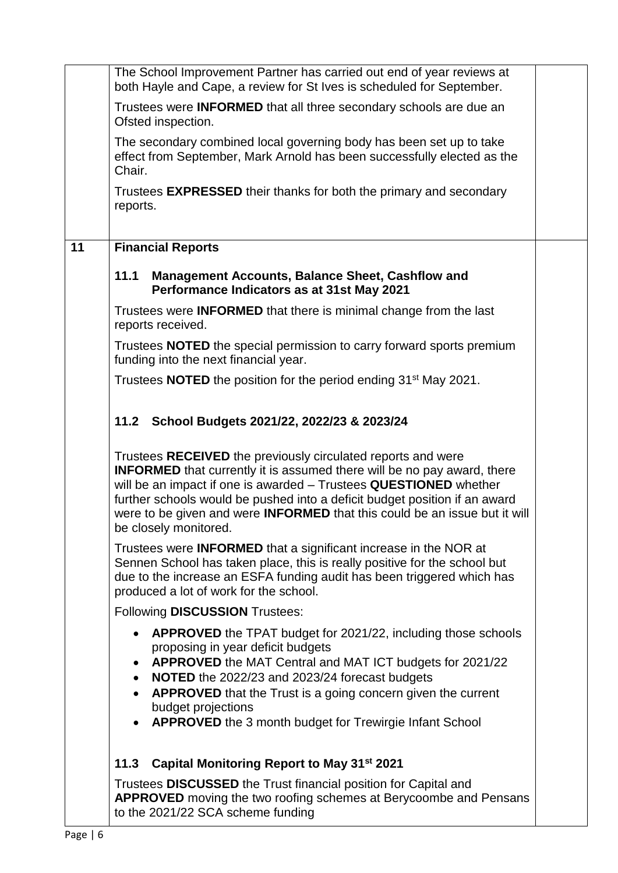|    | The School Improvement Partner has carried out end of year reviews at                                                                                                                                                                                                                                                                                                                                    |  |
|----|----------------------------------------------------------------------------------------------------------------------------------------------------------------------------------------------------------------------------------------------------------------------------------------------------------------------------------------------------------------------------------------------------------|--|
|    | both Hayle and Cape, a review for St Ives is scheduled for September.                                                                                                                                                                                                                                                                                                                                    |  |
|    | Trustees were <b>INFORMED</b> that all three secondary schools are due an<br>Ofsted inspection.                                                                                                                                                                                                                                                                                                          |  |
|    | The secondary combined local governing body has been set up to take<br>effect from September, Mark Arnold has been successfully elected as the<br>Chair.                                                                                                                                                                                                                                                 |  |
|    | Trustees <b>EXPRESSED</b> their thanks for both the primary and secondary<br>reports.                                                                                                                                                                                                                                                                                                                    |  |
| 11 | <b>Financial Reports</b>                                                                                                                                                                                                                                                                                                                                                                                 |  |
|    | 11.1<br><b>Management Accounts, Balance Sheet, Cashflow and</b><br>Performance Indicators as at 31st May 2021                                                                                                                                                                                                                                                                                            |  |
|    | Trustees were <b>INFORMED</b> that there is minimal change from the last<br>reports received.                                                                                                                                                                                                                                                                                                            |  |
|    | Trustees <b>NOTED</b> the special permission to carry forward sports premium<br>funding into the next financial year.                                                                                                                                                                                                                                                                                    |  |
|    | Trustees <b>NOTED</b> the position for the period ending 31 <sup>st</sup> May 2021.                                                                                                                                                                                                                                                                                                                      |  |
|    | 11.2 School Budgets 2021/22, 2022/23 & 2023/24                                                                                                                                                                                                                                                                                                                                                           |  |
|    | Trustees RECEIVED the previously circulated reports and were<br><b>INFORMED</b> that currently it is assumed there will be no pay award, there<br>will be an impact if one is awarded - Trustees QUESTIONED whether<br>further schools would be pushed into a deficit budget position if an award<br>were to be given and were INFORMED that this could be an issue but it will<br>be closely monitored. |  |
|    | Trustees were <b>INFORMED</b> that a significant increase in the NOR at<br>Sennen School has taken place, this is really positive for the school but<br>due to the increase an ESFA funding audit has been triggered which has<br>produced a lot of work for the school.                                                                                                                                 |  |
|    | <b>Following DISCUSSION Trustees:</b>                                                                                                                                                                                                                                                                                                                                                                    |  |
|    | <b>APPROVED</b> the TPAT budget for 2021/22, including those schools<br>proposing in year deficit budgets<br>APPROVED the MAT Central and MAT ICT budgets for 2021/22<br>NOTED the 2022/23 and 2023/24 forecast budgets<br>$\bullet$<br><b>APPROVED</b> that the Trust is a going concern given the current<br>budget projections<br>APPROVED the 3 month budget for Trewirgie Infant School             |  |
|    | Capital Monitoring Report to May 31 <sup>st</sup> 2021<br>11.3                                                                                                                                                                                                                                                                                                                                           |  |
|    | Trustees <b>DISCUSSED</b> the Trust financial position for Capital and<br><b>APPROVED</b> moving the two roofing schemes at Berycoombe and Pensans<br>to the 2021/22 SCA scheme funding                                                                                                                                                                                                                  |  |